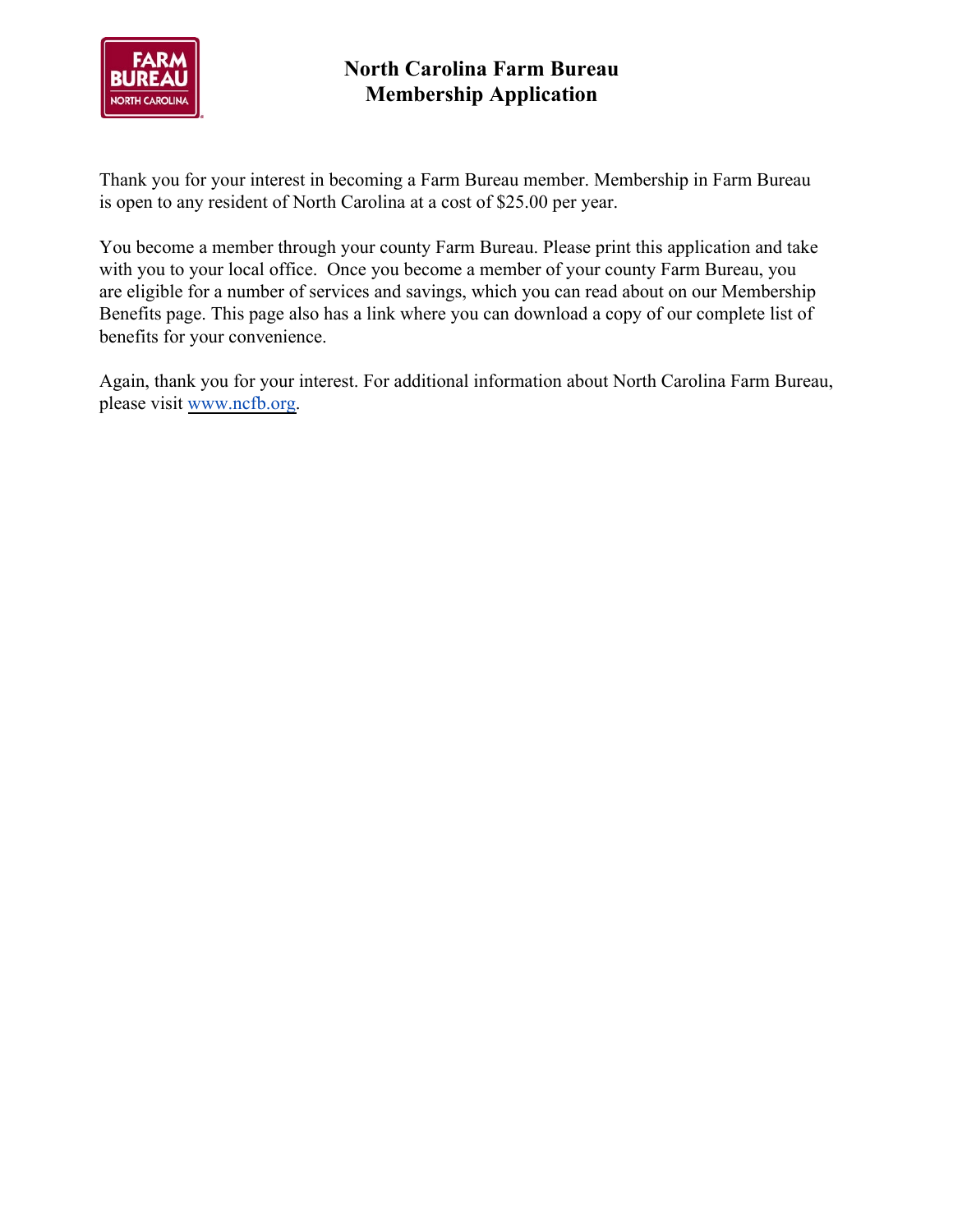

# **North Carolina Farm Bureau Membership Application**

Thank you for your interest in becoming a Farm Bureau member. Membership in Farm Bureau is open to any resident of North Carolina at a cost of \$25.00 per year.

You become a member through your county Farm Bureau. Please print this application and take with you to your local office. Once you become a member of your county Farm Bureau, you are eligible for a number of services and savings, which you can read about on our Membership Benefits page. This page also has a link where you can download a copy of our complete list of benefits for your convenience.

Again, thank you for your interest. For additional information about North Carolina Farm Bureau, please visit [www.ncfb.org.](http://www.ncfb.org/)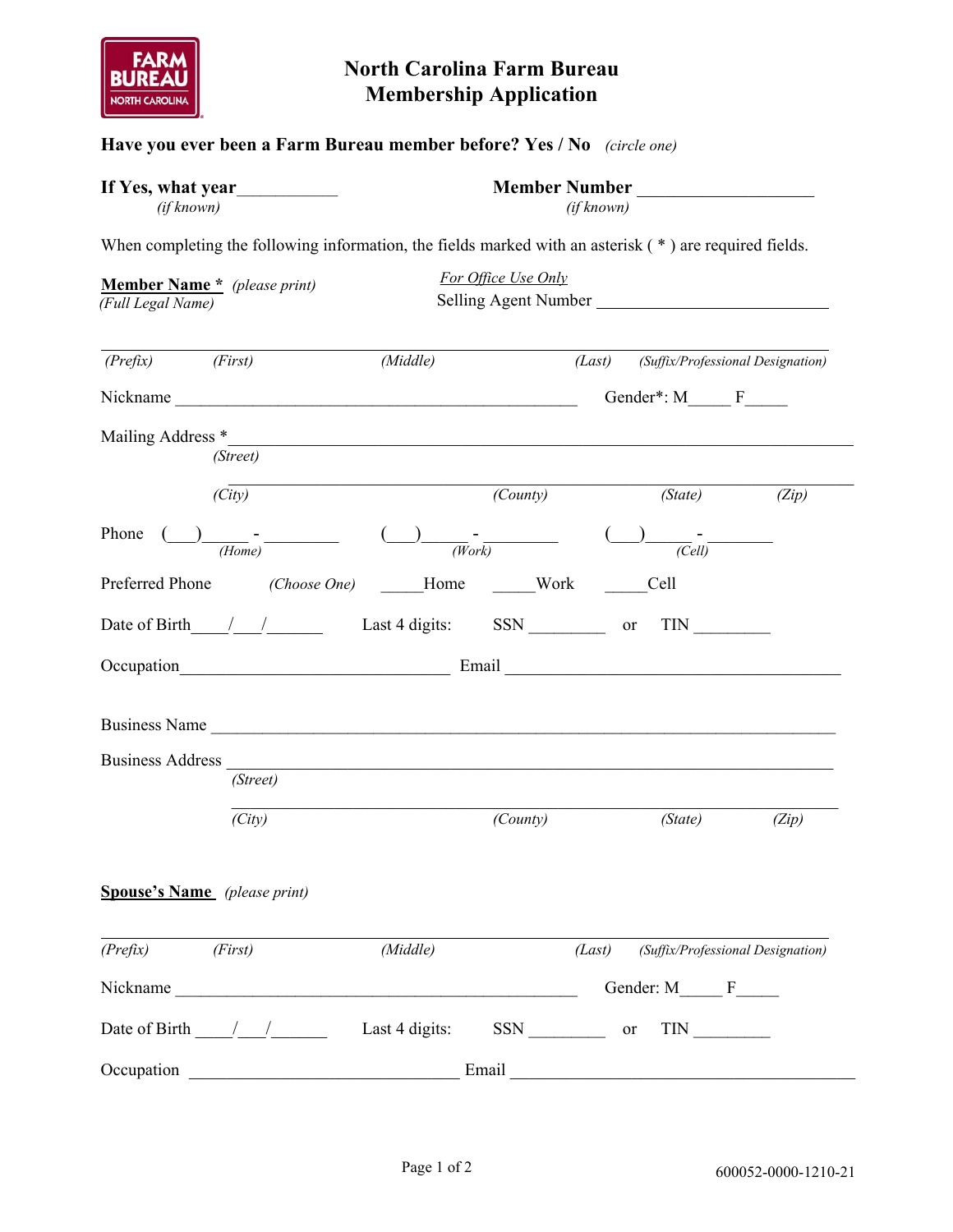

## **North Carolina Farm Bureau Membership Application**

## **Have you ever been a Farm Bureau member before? Yes / No** *(circle one)*

| If Yes, what year | <b>Member Number</b> |
|-------------------|----------------------|
| <i>(if known)</i> | <i>(if known)</i>    |

| ıber Number |  |
|-------------|--|
|             |  |

When completing the following information, the fields marked with an asterisk ( $*$ ) are required fields.

|                    | (Middle)                                                                                                                                  |          |                                 | (Suffix/Professional Designation)                                                                                                                                            |
|--------------------|-------------------------------------------------------------------------------------------------------------------------------------------|----------|---------------------------------|------------------------------------------------------------------------------------------------------------------------------------------------------------------------------|
|                    |                                                                                                                                           |          |                                 |                                                                                                                                                                              |
|                    |                                                                                                                                           |          |                                 |                                                                                                                                                                              |
| (Street)           |                                                                                                                                           |          |                                 |                                                                                                                                                                              |
| (City)             |                                                                                                                                           | (County) | (State)                         | (Zip)                                                                                                                                                                        |
| $\frac{1}{(Home)}$ |                                                                                                                                           |          |                                 | $\frac{1}{\sqrt{Cell}}$                                                                                                                                                      |
|                    |                                                                                                                                           |          | Cell                            |                                                                                                                                                                              |
|                    |                                                                                                                                           |          |                                 |                                                                                                                                                                              |
|                    |                                                                                                                                           |          |                                 |                                                                                                                                                                              |
| (Street)           |                                                                                                                                           |          |                                 |                                                                                                                                                                              |
|                    |                                                                                                                                           |          |                                 | (Zip)                                                                                                                                                                        |
|                    |                                                                                                                                           |          |                                 |                                                                                                                                                                              |
|                    |                                                                                                                                           |          |                                 |                                                                                                                                                                              |
| (First)            | (Middle)                                                                                                                                  |          |                                 | (Suffix/Professional Designation)                                                                                                                                            |
|                    |                                                                                                                                           |          |                                 |                                                                                                                                                                              |
|                    |                                                                                                                                           |          |                                 |                                                                                                                                                                              |
|                    |                                                                                                                                           |          |                                 |                                                                                                                                                                              |
|                    | <b>Member Name</b> * (please print)<br>(Full Legal Name)<br>(First)<br>Mailing Address *<br>(City)<br><b>Spouse's Name</b> (please print) |          | For Office Use Only<br>(County) | Selling Agent Number<br>(Last)<br>Gender*: M F<br>$\frac{1}{(Work)}$<br>Preferred Phone (Choose One) Home Work<br>Business Name<br>(State)<br>(Last)<br>Gender: M_____ F____ |